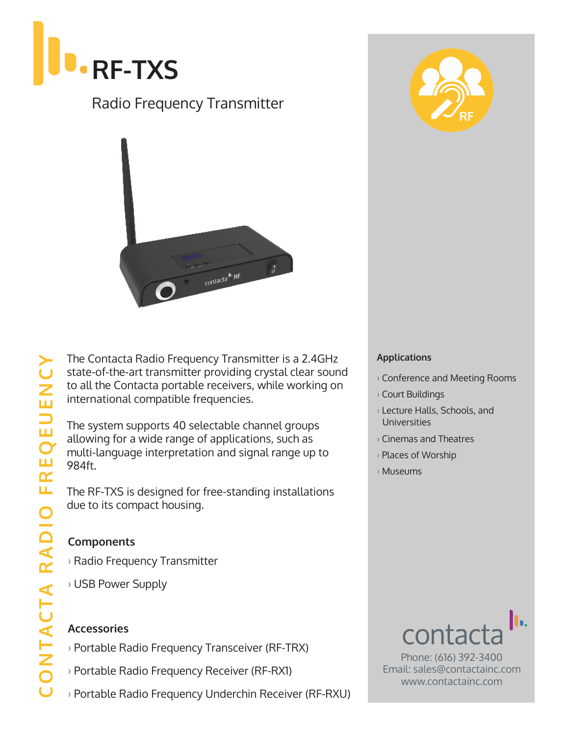

# Radio Frequency Transmitter



The Contacta Radio Frequency Transmitter is a 2.4GHz state-of-the-art transmitter providing crystal clear sound to all the Contacta portable receivers, while working on international compatible frequencies.

The system supports 40 selectable channel groups allowing for a wide range of applications, such as multi-language interpretation and signal range up to 984ft.

The RF-TXS is designed for free-standing installations due to its compact housing.

#### **Components**

- › Radio Frequency Transmitter
- › USB Power Supply

### **Accessories**

- › Portable Radio Frequency Transceiver (RF-TRX)
- › Portable Radio Frequency Receiver (RF-RX1)
- › Portable Radio Frequency Underchin Receiver (RF-RXU)



#### **Applications**

- › Conference and Meeting Rooms
- › Court Buildings
- › Lecture Halls, Schools, and **Universities**
- › Cinemas and Theatres
- › Places of Worship
- › Museums



Phone: (616) 392-3400 Email: sales@contactainc.com www.contactainc.com